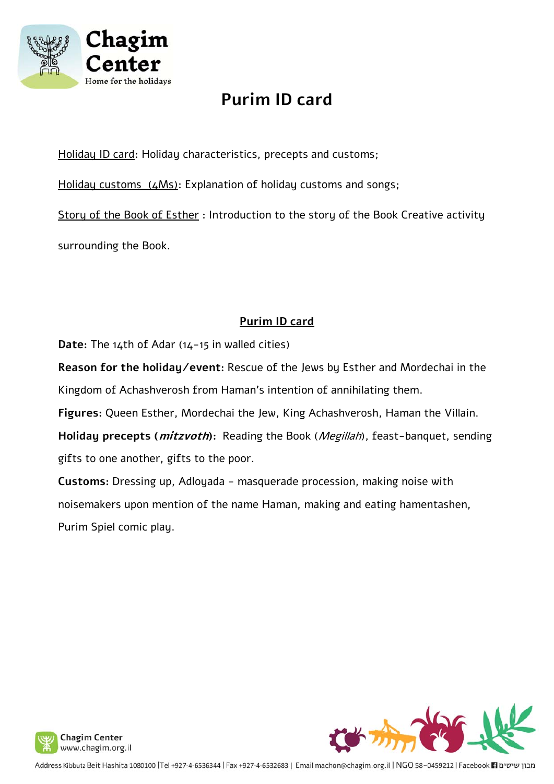

# **Purim ID card**

Holiday ID card: Holiday characteristics, precepts and customs;

Holiday customs (4Ms): Explanation of holiday customs and songs;

Story of the Book of Esther: Introduction to the story of the Book Creative activity surrounding the Book.

## **Purim ID card**

**Date:** The 14th of Adar (14-15 in walled cities)

**Reason for the holiday/event:** Rescue of the Jews by Esther and Mordechai in the Kingdom of Achashverosh from Haman's intention of annihilating them.

**Figures:** Queen Esther, Mordechai the Jew, King Achashverosh, Haman the Villain.

**Holiday precepts (mitzvoth):** Reading the Book (Megillah), feast-banquet, sending gifts to one another, gifts to the poor.

**Customs:** Dressing up, Adloyada - masquerade procession, making noise with noisemakers upon mention of the name Haman, making and eating hamentashen, Purim Spiel comic play.



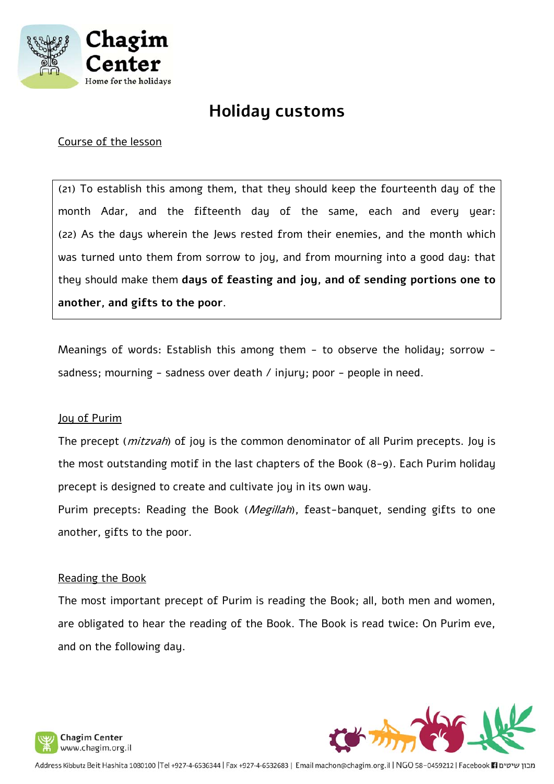

## **Holiday customs**

#### Course of the lesson

(21) To establish this among them, that they should keep the fourteenth day of the month Adar, and the fifteenth day of the same, each and every year: (22) As the days wherein the Jews rested from their enemies, and the month which was turned unto them from sorrow to joy, and from mourning into a good day: that they should make them **days of feasting and joy, and of sending portions one to another, and gifts to the poor**.

Meanings of words: Establish this among them - to observe the holiday; sorrow sadness; mourning - sadness over death / injury; poor - people in need.

#### Joy of Purim

The precept (*mitzvah*) of joy is the common denominator of all Purim precepts. Joy is the most outstanding motif in the last chapters of the Book (8-9). Each Purim holiday precept is designed to create and cultivate joy in its own way.

Purim precepts: Reading the Book (*Megillah*), feast-banquet, sending gifts to one another, gifts to the poor.

#### Reading the Book

The most important precept of Purim is reading the Book; all, both men and women, are obligated to hear the reading of the Book. The Book is read twice: On Purim eve, and on the following day.



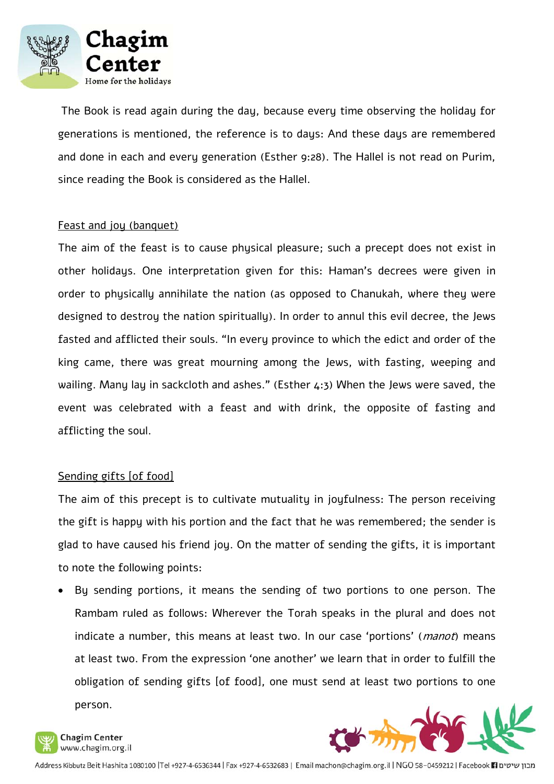

 The Book is read again during the day, because every time observing the holiday for generations is mentioned, the reference is to days: And these days are remembered and done in each and every generation (Esther 9:28). The Hallel is not read on Purim, since reading the Book is considered as the Hallel.

#### Feast and joy (banquet)

The aim of the feast is to cause physical pleasure; such a precept does not exist in other holidays. One interpretation given for this: Haman's decrees were given in order to physically annihilate the nation (as opposed to Chanukah, where they were designed to destroy the nation spiritually). In order to annul this evil decree, the Jews fasted and afflicted their souls. "In every province to which the edict and order of the king came, there was great mourning among the Jews, with fasting, weeping and wailing. Many lay in sackcloth and ashes." (Esther 4:3) When the Jews were saved, the event was celebrated with a feast and with drink, the opposite of fasting and afflicting the soul.

#### Sending gifts [of food]

The aim of this precept is to cultivate mutuality in joyfulness: The person receiving the gift is happy with his portion and the fact that he was remembered; the sender is glad to have caused his friend joy. On the matter of sending the gifts, it is important to note the following points:

 By sending portions, it means the sending of two portions to one person. The Rambam ruled as follows: Wherever the Torah speaks in the plural and does not indicate a number, this means at least two. In our case 'portions' (*manot*) means at least two. From the expression 'one another' we learn that in order to fulfill the obligation of sending gifts [of food], one must send at least two portions to one person.



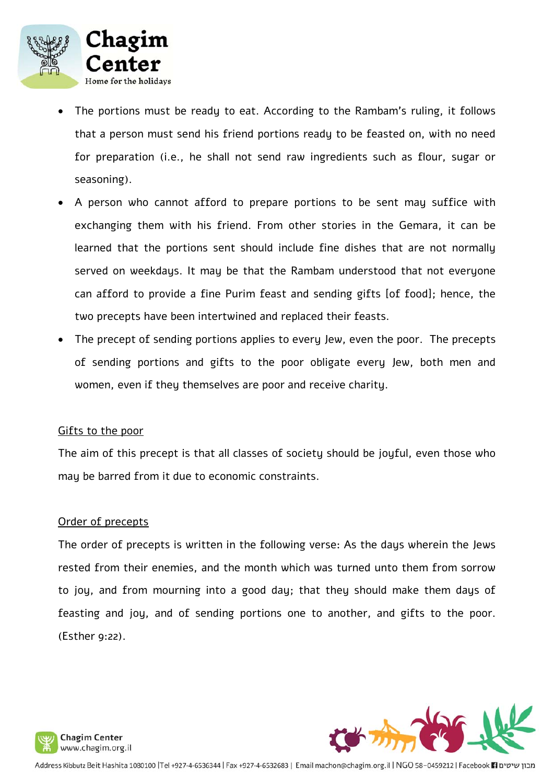

- The portions must be ready to eat. According to the Rambam's ruling, it follows that a person must send his friend portions ready to be feasted on, with no need for preparation (i.e., he shall not send raw ingredients such as flour, sugar or seasoning).
- A person who cannot afford to prepare portions to be sent may suffice with exchanging them with his friend. From other stories in the Gemara, it can be learned that the portions sent should include fine dishes that are not normally served on weekdays. It may be that the Rambam understood that not everyone can afford to provide a fine Purim feast and sending gifts [of food]; hence, the two precepts have been intertwined and replaced their feasts.
- The precept of sending portions applies to every Jew, even the poor. The precepts of sending portions and gifts to the poor obligate every Jew, both men and women, even if they themselves are poor and receive charity.

#### Gifts to the poor

The aim of this precept is that all classes of society should be joyful, even those who may be barred from it due to economic constraints.

#### Order of precepts

The order of precepts is written in the following verse: As the days wherein the Jews rested from their enemies, and the month which was turned unto them from sorrow to joy, and from mourning into a good day; that they should make them days of feasting and joy, and of sending portions one to another, and gifts to the poor. (Esther 9:22).



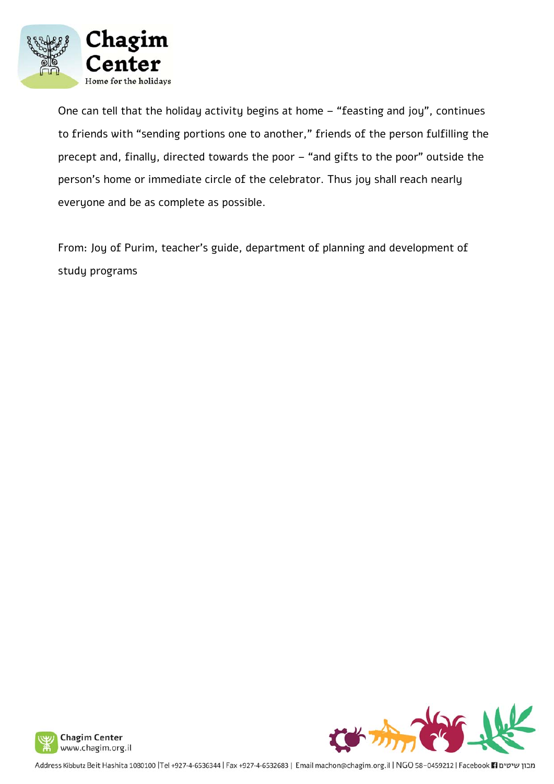

One can tell that the holiday activity begins at home – "feasting and joy", continues to friends with "sending portions one to another," friends of the person fulfilling the precept and, finally, directed towards the poor – "and gifts to the poor" outside the person's home or immediate circle of the celebrator. Thus joy shall reach nearly everyone and be as complete as possible.

From: Joy of Purim, teacher's guide, department of planning and development of study programs



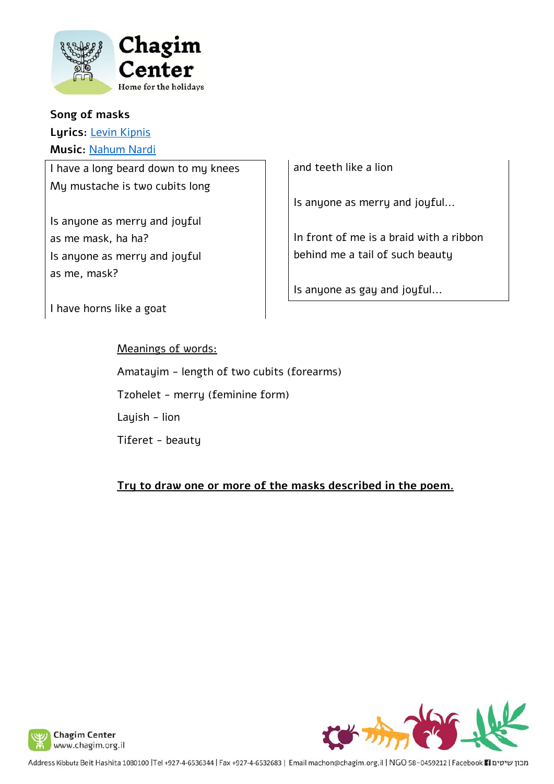

## **Song of masks Lyrics:** Levin Kipnis **Music:** Nahum Nardi

I have a long beard down to my knees My mustache is two cubits long

Is anyone as merry and joyful as me mask, ha ha? Is anyone as merry and joyful as me, mask?

I have horns like a goat

Meanings of words:

Amatayim - length of two cubits (forearms)

Tzohelet - merry (feminine form)

Layish - lion

Tiferet - beauty

**Try to draw one or more of the masks described in the poem.**

and teeth like a lion

Is anyone as merry and joyful...

In front of me is a braid with a ribbon behind me a tail of such beauty

Is anyone as gay and joyful...





Address Kibbutz Beit Hashita 1080100 |Tel +927-4-6536344 | Fax +927-4-6532683 | Email machon@chagim.org.il | NGO 58-0459212 | Facebook 11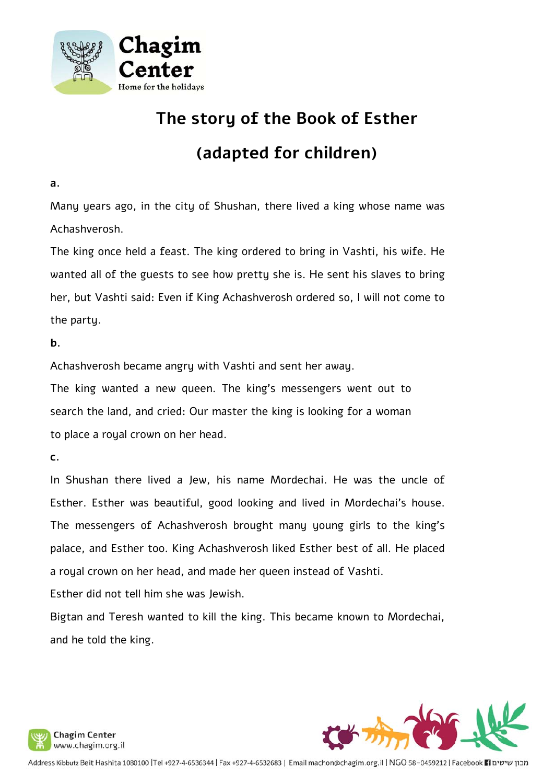

# **The story of the Book of Esther**

# **(adapted for children)**

**a.** 

Many years ago, in the city of Shushan, there lived a king whose name was Achashverosh.

The king once held a feast. The king ordered to bring in Vashti, his wife. He wanted all of the guests to see how pretty she is. He sent his slaves to bring her, but Vashti said: Even if King Achashverosh ordered so, I will not come to the party.

**b.** 

Achashverosh became angry with Vashti and sent her away.

The king wanted a new queen. The king's messengers went out to search the land, and cried: Our master the king is looking for a woman to place a royal crown on her head.

**c.** 

In Shushan there lived a Jew, his name Mordechai. He was the uncle of Esther. Esther was beautiful, good looking and lived in Mordechai's house. The messengers of Achashverosh brought many young girls to the king's palace, and Esther too. King Achashverosh liked Esther best of all. He placed a royal crown on her head, and made her queen instead of Vashti.

Esther did not tell him she was Jewish.

Bigtan and Teresh wanted to kill the king. This became known to Mordechai, and he told the king.



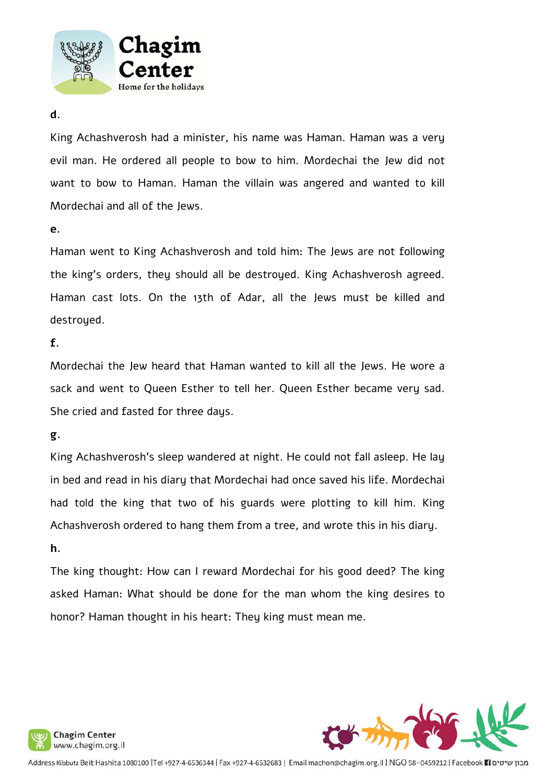

#### **d.**

King Achashverosh had a minister, his name was Haman. Haman was a very evil man. He ordered all people to bow to him. Mordechai the Jew did not want to bow to Haman. Haman the villain was angered and wanted to kill Mordechai and all of the Jews.

**e.**

Haman went to King Achashverosh and told him: The Jews are not following the king's orders, they should all be destroyed. King Achashverosh agreed. Haman cast lots. On the 13th of Adar, all the Jews must be killed and destroyed.

**f.**

Mordechai the Jew heard that Haman wanted to kill all the Jews. He wore a sack and went to Queen Esther to tell her. Queen Esther became very sad. She cried and fasted for three days.

## **g.**

King Achashverosh's sleep wandered at night. He could not fall asleep. He lay in bed and read in his diary that Mordechai had once saved his life. Mordechai had told the king that two of his guards were plotting to kill him. King Achashverosh ordered to hang them from a tree, and wrote this in his diary.

## **h.**

The king thought: How can I reward Mordechai for his good deed? The king asked Haman: What should be done for the man whom the king desires to honor? Haman thought in his heart: They king must mean me.



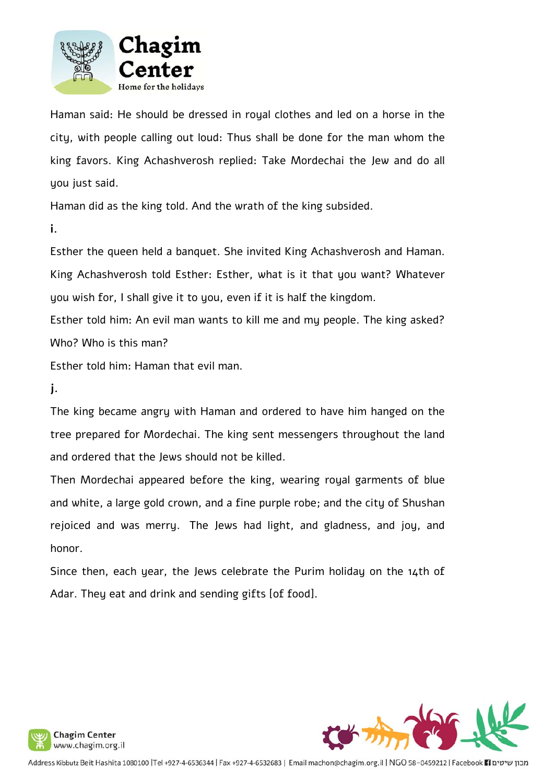

Haman said: He should be dressed in royal clothes and led on a horse in the city, with people calling out loud: Thus shall be done for the man whom the king favors. King Achashverosh replied: Take Mordechai the Jew and do all you just said.

Haman did as the king told. And the wrath of the king subsided.

**i.**

Esther the queen held a banquet. She invited King Achashverosh and Haman. King Achashverosh told Esther: Esther, what is it that you want? Whatever you wish for, I shall give it to you, even if it is half the kingdom.

Esther told him: An evil man wants to kill me and my people. The king asked? Who? Who is this man?

Esther told him: Haman that evil man.

**j.**

The king became angry with Haman and ordered to have him hanged on the tree prepared for Mordechai. The king sent messengers throughout the land and ordered that the Jews should not be killed.

Then Mordechai appeared before the king, wearing royal garments of blue and white, a large gold crown, and a fine purple robe; and the city of Shushan rejoiced and was merry. The Jews had light, and gladness, and joy, and honor.

Since then, each year, the Jews celebrate the Purim holiday on the 14th of Adar. They eat and drink and sending gifts [of food].